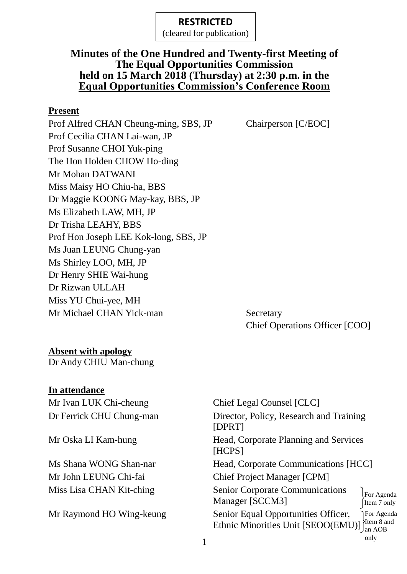(cleared for publication)

### **Minutes of the One Hundred and Twenty-first Meeting of The Equal Opportunities Commission held on 15 March 2018 (Thursday) at 2:30 p.m. in the Equal Opportunities Commission's Conference Room**

#### **Present**

Prof Alfred CHAN Cheung-ming, SBS, JP Chairperson [C/EOC] Prof Cecilia CHAN Lai-wan, JP Prof Susanne CHOI Yuk-ping The Hon Holden CHOW Ho-ding Mr Mohan DATWANI Miss Maisy HO Chiu-ha, BBS Dr Maggie KOONG May-kay, BBS, JP Ms Elizabeth LAW, MH, JP Dr Trisha LEAHY, BBS Prof Hon Joseph LEE Kok-long, SBS, JP Ms Juan LEUNG Chung-yan Ms Shirley LOO, MH, JP Dr Henry SHIE Wai-hung Dr Rizwan ULLAH Miss YU Chui-yee, MH Mr Michael CHAN Yick-man Secretary

Chief Operations Officer [COO]

**Absent with apology** Dr Andy CHIU Man-chung

### **In attendance**

Mr Ivan LUK Chi-cheung Chief Legal Counsel [CLC]

Dr Ferrick CHU Chung-man Director, Policy, Research and Training [DPRT] Mr Oska LI Kam-hung Head, Corporate Planning and Services [HCPS] Ms Shana WONG Shan-nar Head, Corporate Communications [HCC] Mr John LEUNG Chi-fai Chief Project Manager [CPM] Miss Lisa CHAN Kit-ching Senior Corporate Communications Manager [SCCM3] Mr Raymond HO Wing-keung Senior Equal Opportunities Officer, Ethnic Minorities Unit [SEOO(EMU)] For Agenda Item 7 only For Agenda Item 8 and an AOB only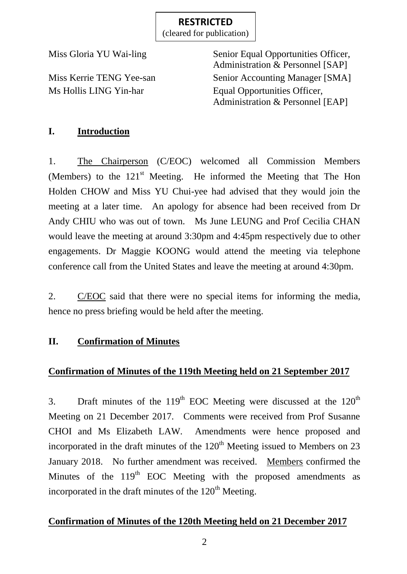(cleared for publication)

Miss Gloria YU Wai-ling Senior Equal Opportunities Officer, Administration & Personnel [SAP] Miss Kerrie TENG Yee-san Senior Accounting Manager [SMA] Ms Hollis LING Yin-har Equal Opportunities Officer, Administration & Personnel [EAP]

## **I. Introduction**

1. The Chairperson (C/EOC) welcomed all Commission Members (Members) to the 121<sup>st</sup> Meeting. He informed the Meeting that The Hon Holden CHOW and Miss YU Chui-yee had advised that they would join the meeting at a later time. An apology for absence had been received from Dr Andy CHIU who was out of town. Ms June LEUNG and Prof Cecilia CHAN would leave the meeting at around 3:30pm and 4:45pm respectively due to other engagements. Dr Maggie KOONG would attend the meeting via telephone conference call from the United States and leave the meeting at around 4:30pm.

2. C/EOC said that there were no special items for informing the media, hence no press briefing would be held after the meeting.

### **II. Confirmation of Minutes**

### **Confirmation of Minutes of the 119th Meeting held on 21 September 2017**

3. Draft minutes of the  $119<sup>th</sup>$  EOC Meeting were discussed at the  $120<sup>th</sup>$ Meeting on 21 December 2017. Comments were received from Prof Susanne CHOI and Ms Elizabeth LAW. Amendments were hence proposed and incorporated in the draft minutes of the  $120<sup>th</sup>$  Meeting issued to Members on 23 January 2018. No further amendment was received. Members confirmed the Minutes of the  $119<sup>th</sup>$  EOC Meeting with the proposed amendments as incorporated in the draft minutes of the  $120<sup>th</sup>$  Meeting.

### **Confirmation of Minutes of the 120th Meeting held on 21 December 2017**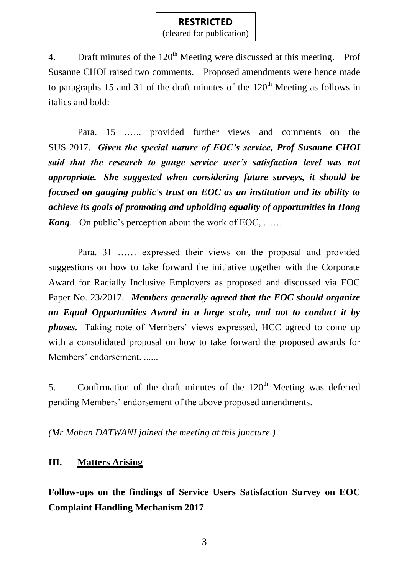(cleared for publication)

4. Draft minutes of the  $120<sup>th</sup>$  Meeting were discussed at this meeting. Prof Susanne CHOI raised two comments. Proposed amendments were hence made to paragraphs 15 and 31 of the draft minutes of the  $120<sup>th</sup>$  Meeting as follows in italics and bold:

Para. 15 .….. provided further views and comments on the SUS-2017. *Given the special nature of EOC's service, Prof Susanne CHOI said that the research to gauge service user's satisfaction level was not appropriate. She suggested when considering future surveys, it should be focused on gauging public's trust on EOC as an institution and its ability to achieve its goals of promoting and upholding equality of opportunities in Hong Kong.* On public's perception about the work of EOC, ……

Para. 31 …… expressed their views on the proposal and provided suggestions on how to take forward the initiative together with the Corporate Award for Racially Inclusive Employers as proposed and discussed via EOC Paper No. 23/2017. *Members generally agreed that the EOC should organize an Equal Opportunities Award in a large scale, and not to conduct it by phases.* Taking note of Members' views expressed, HCC agreed to come up with a consolidated proposal on how to take forward the proposed awards for Members' endorsement. ......

5. Confirmation of the draft minutes of the  $120<sup>th</sup>$  Meeting was deferred pending Members' endorsement of the above proposed amendments.

*(Mr Mohan DATWANI joined the meeting at this juncture.)*

### **III. Matters Arising**

**Follow-ups on the findings of Service Users Satisfaction Survey on EOC Complaint Handling Mechanism 2017**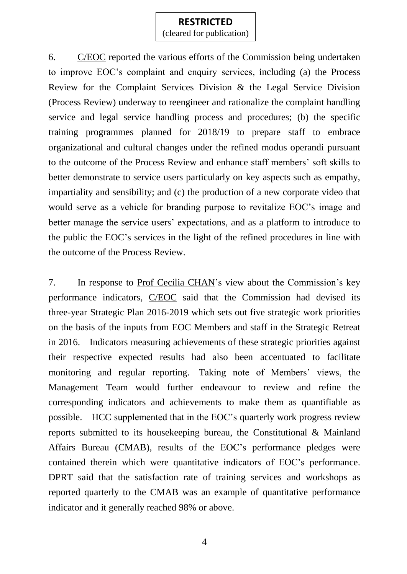(cleared for publication)

6. C/EOC reported the various efforts of the Commission being undertaken to improve EOC's complaint and enquiry services, including (a) the Process Review for the Complaint Services Division & the Legal Service Division (Process Review) underway to reengineer and rationalize the complaint handling service and legal service handling process and procedures; (b) the specific training programmes planned for 2018/19 to prepare staff to embrace organizational and cultural changes under the refined modus operandi pursuant to the outcome of the Process Review and enhance staff members' soft skills to better demonstrate to service users particularly on key aspects such as empathy, impartiality and sensibility; and (c) the production of a new corporate video that would serve as a vehicle for branding purpose to revitalize EOC's image and better manage the service users' expectations, and as a platform to introduce to the public the EOC's services in the light of the refined procedures in line with the outcome of the Process Review.

7. In response to Prof Cecilia CHAN's view about the Commission's key performance indicators, C/EOC said that the Commission had devised its three-year Strategic Plan 2016-2019 which sets out five strategic work priorities on the basis of the inputs from EOC Members and staff in the Strategic Retreat in 2016. Indicators measuring achievements of these strategic priorities against their respective expected results had also been accentuated to facilitate monitoring and regular reporting. Taking note of Members' views, the Management Team would further endeavour to review and refine the corresponding indicators and achievements to make them as quantifiable as possible. HCC supplemented that in the EOC's quarterly work progress review reports submitted to its housekeeping bureau, the Constitutional & Mainland Affairs Bureau (CMAB), results of the EOC's performance pledges were contained therein which were quantitative indicators of EOC's performance. DPRT said that the satisfaction rate of training services and workshops as reported quarterly to the CMAB was an example of quantitative performance indicator and it generally reached 98% or above.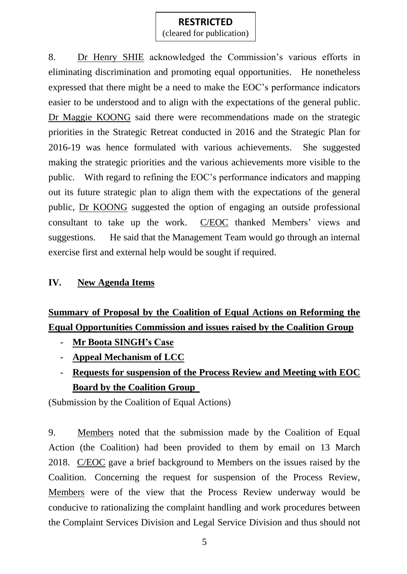(cleared for publication)

8. Dr Henry SHIE acknowledged the Commission's various efforts in eliminating discrimination and promoting equal opportunities. He nonetheless expressed that there might be a need to make the EOC's performance indicators easier to be understood and to align with the expectations of the general public. Dr Maggie KOONG said there were recommendations made on the strategic priorities in the Strategic Retreat conducted in 2016 and the Strategic Plan for 2016-19 was hence formulated with various achievements. She suggested making the strategic priorities and the various achievements more visible to the public. With regard to refining the EOC's performance indicators and mapping out its future strategic plan to align them with the expectations of the general public, Dr KOONG suggested the option of engaging an outside professional consultant to take up the work. C/EOC thanked Members' views and suggestions. He said that the Management Team would go through an internal exercise first and external help would be sought if required.

### **IV. New Agenda Items**

# **Summary of Proposal by the Coalition of Equal Actions on Reforming the Equal Opportunities Commission and issues raised by the Coalition Group**

- **Mr Boota SINGH's Case**
- **Appeal Mechanism of LCC**
- **Requests for suspension of the Process Review and Meeting with EOC Board by the Coalition Group**

(Submission by the Coalition of Equal Actions)

9. Members noted that the submission made by the Coalition of Equal Action (the Coalition) had been provided to them by email on 13 March 2018. C/EOC gave a brief background to Members on the issues raised by the Coalition. Concerning the request for suspension of the Process Review, Members were of the view that the Process Review underway would be conducive to rationalizing the complaint handling and work procedures between the Complaint Services Division and Legal Service Division and thus should not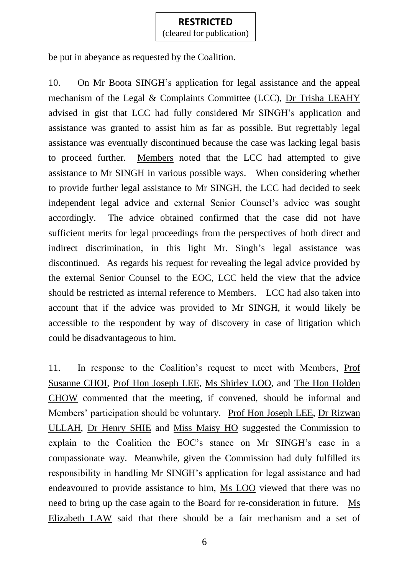(cleared for publication)

be put in abeyance as requested by the Coalition.

10. On Mr Boota SINGH's application for legal assistance and the appeal mechanism of the Legal & Complaints Committee (LCC), Dr Trisha LEAHY advised in gist that LCC had fully considered Mr SINGH's application and assistance was granted to assist him as far as possible. But regrettably legal assistance was eventually discontinued because the case was lacking legal basis to proceed further. Members noted that the LCC had attempted to give assistance to Mr SINGH in various possible ways. When considering whether to provide further legal assistance to Mr SINGH, the LCC had decided to seek independent legal advice and external Senior Counsel's advice was sought accordingly. The advice obtained confirmed that the case did not have sufficient merits for legal proceedings from the perspectives of both direct and indirect discrimination, in this light Mr. Singh's legal assistance was discontinued. As regards his request for revealing the legal advice provided by the external Senior Counsel to the EOC, LCC held the view that the advice should be restricted as internal reference to Members. LCC had also taken into account that if the advice was provided to Mr SINGH, it would likely be accessible to the respondent by way of discovery in case of litigation which could be disadvantageous to him.

11. In response to the Coalition's request to meet with Members, Prof Susanne CHOI, Prof Hon Joseph LEE, Ms Shirley LOO, and The Hon Holden CHOW commented that the meeting, if convened, should be informal and Members' participation should be voluntary. Prof Hon Joseph LEE, Dr Rizwan ULLAH, Dr Henry SHIE and Miss Maisy HO suggested the Commission to explain to the Coalition the EOC's stance on Mr SINGH's case in a compassionate way. Meanwhile, given the Commission had duly fulfilled its responsibility in handling Mr SINGH's application for legal assistance and had endeavoured to provide assistance to him, Ms LOO viewed that there was no need to bring up the case again to the Board for re-consideration in future. Ms Elizabeth LAW said that there should be a fair mechanism and a set of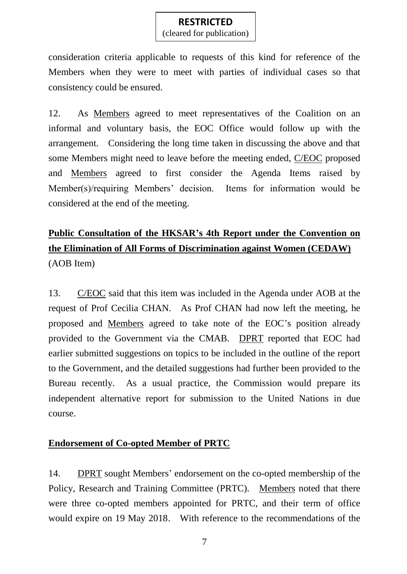(cleared for publication)

consideration criteria applicable to requests of this kind for reference of the Members when they were to meet with parties of individual cases so that consistency could be ensured.

12. As Members agreed to meet representatives of the Coalition on an informal and voluntary basis, the EOC Office would follow up with the arrangement. Considering the long time taken in discussing the above and that some Members might need to leave before the meeting ended, C/EOC proposed and Members agreed to first consider the Agenda Items raised by Member(s)/requiring Members' decision. Items for information would be considered at the end of the meeting.

# **Public Consultation of the HKSAR's 4th Report under the Convention on the Elimination of All Forms of Discrimination against Women (CEDAW)** (AOB Item)

13. C/EOC said that this item was included in the Agenda under AOB at the request of Prof Cecilia CHAN. As Prof CHAN had now left the meeting, he proposed and Members agreed to take note of the EOC's position already provided to the Government via the CMAB. DPRT reported that EOC had earlier submitted suggestions on topics to be included in the outline of the report to the Government, and the detailed suggestions had further been provided to the Bureau recently. As a usual practice, the Commission would prepare its independent alternative report for submission to the United Nations in due course.

### **Endorsement of Co-opted Member of PRTC**

14. DPRT sought Members' endorsement on the co-opted membership of the Policy, Research and Training Committee (PRTC). Members noted that there were three co-opted members appointed for PRTC, and their term of office would expire on 19 May 2018. With reference to the recommendations of the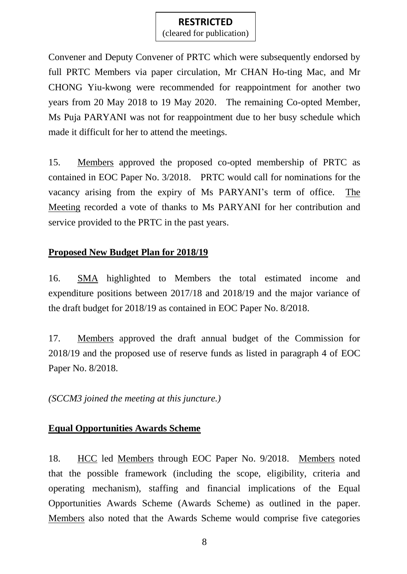(cleared for publication)

Convener and Deputy Convener of PRTC which were subsequently endorsed by full PRTC Members via paper circulation, Mr CHAN Ho-ting Mac, and Mr CHONG Yiu-kwong were recommended for reappointment for another two years from 20 May 2018 to 19 May 2020. The remaining Co-opted Member, Ms Puja PARYANI was not for reappointment due to her busy schedule which made it difficult for her to attend the meetings.

15. Members approved the proposed co-opted membership of PRTC as contained in EOC Paper No. 3/2018. PRTC would call for nominations for the vacancy arising from the expiry of Ms PARYANI's term of office. The Meeting recorded a vote of thanks to Ms PARYANI for her contribution and service provided to the PRTC in the past years.

## **Proposed New Budget Plan for 2018/19**

16. SMA highlighted to Members the total estimated income and expenditure positions between 2017/18 and 2018/19 and the major variance of the draft budget for 2018/19 as contained in EOC Paper No. 8/2018.

17. Members approved the draft annual budget of the Commission for 2018/19 and the proposed use of reserve funds as listed in paragraph 4 of EOC Paper No. 8/2018.

*(SCCM3 joined the meeting at this juncture.)*

### **Equal Opportunities Awards Scheme**

18. HCC led Members through EOC Paper No. 9/2018. Members noted that the possible framework (including the scope, eligibility, criteria and operating mechanism), staffing and financial implications of the Equal Opportunities Awards Scheme (Awards Scheme) as outlined in the paper. Members also noted that the Awards Scheme would comprise five categories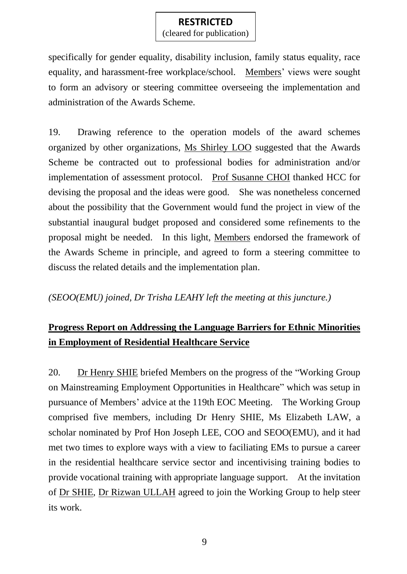(cleared for publication)

specifically for gender equality, disability inclusion, family status equality, race equality, and harassment-free workplace/school. Members' views were sought to form an advisory or steering committee overseeing the implementation and administration of the Awards Scheme.

19. Drawing reference to the operation models of the award schemes organized by other organizations, Ms Shirley LOO suggested that the Awards Scheme be contracted out to professional bodies for administration and/or implementation of assessment protocol. Prof Susanne CHOI thanked HCC for devising the proposal and the ideas were good. She was nonetheless concerned about the possibility that the Government would fund the project in view of the substantial inaugural budget proposed and considered some refinements to the proposal might be needed. In this light, Members endorsed the framework of the Awards Scheme in principle, and agreed to form a steering committee to discuss the related details and the implementation plan.

*(SEOO(EMU) joined, Dr Trisha LEAHY left the meeting at this juncture.)*

## **Progress Report on Addressing the Language Barriers for Ethnic Minorities in Employment of Residential Healthcare Service**

20. Dr Henry SHIE briefed Members on the progress of the "Working Group on Mainstreaming Employment Opportunities in Healthcare" which was setup in pursuance of Members' advice at the 119th EOC Meeting. The Working Group comprised five members, including Dr Henry SHIE, Ms Elizabeth LAW, a scholar nominated by Prof Hon Joseph LEE, COO and SEOO(EMU), and it had met two times to explore ways with a view to faciliating EMs to pursue a career in the residential healthcare service sector and incentivising training bodies to provide vocational training with appropriate language support. At the invitation of Dr SHIE, Dr Rizwan ULLAH agreed to join the Working Group to help steer its work.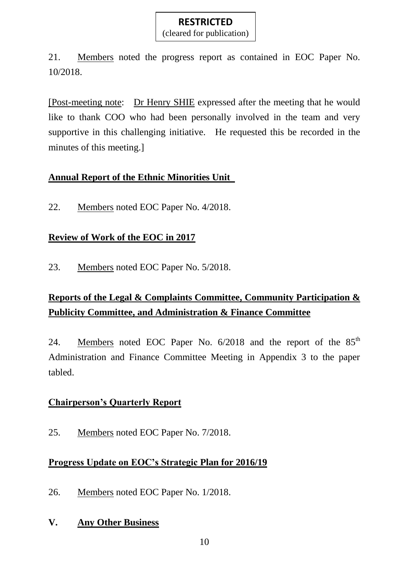(cleared for publication)

21. Members noted the progress report as contained in EOC Paper No. 10/2018.

[Post-meeting note: Dr Henry SHIE expressed after the meeting that he would like to thank COO who had been personally involved in the team and very supportive in this challenging initiative. He requested this be recorded in the minutes of this meeting.]

### **Annual Report of the Ethnic Minorities Unit**

22. Members noted EOC Paper No. 4/2018.

## **Review of Work of the EOC in 2017**

23. Members noted EOC Paper No. 5/2018.

## **Reports of the Legal & Complaints Committee, Community Participation & Publicity Committee, and Administration & Finance Committee**

24. Members noted EOC Paper No. 6/2018 and the report of the 85<sup>th</sup> Administration and Finance Committee Meeting in Appendix 3 to the paper tabled.

## **Chairperson's Quarterly Report**

25. Members noted EOC Paper No. 7/2018.

## **Progress Update on EOC's Strategic Plan for 2016/19**

26. Members noted EOC Paper No. 1/2018.

### **V. Any Other Business**